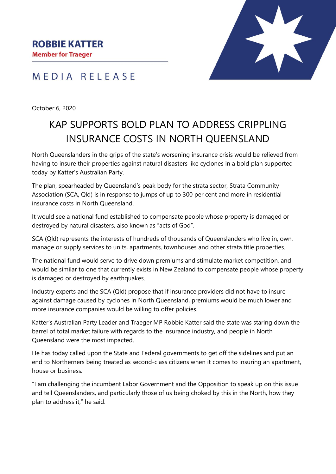**Member for Traeger** 



### MEDIA RELEASE

October 6, 2020

# KAP SUPPORTS BOLD PLAN TO ADDRESS CRIPPLING INSURANCE COSTS IN NORTH QUEENSLAND

North Queenslanders in the grips of the state's worsening insurance crisis would be relieved from having to insure their properties against natural disasters like cyclones in a bold plan supported today by Katter's Australian Party.

The plan, spearheaded by Queensland's peak body for the strata sector, Strata Community Association (SCA, Qld) is in response to jumps of up to 300 per cent and more in residential insurance costs in North Queensland.

It would see a national fund established to compensate people whose property is damaged or destroyed by natural disasters, also known as "acts of God".

SCA (Qld) represents the interests of hundreds of thousands of Queenslanders who live in, own, manage or supply services to units, apartments, townhouses and other strata title properties.

The national fund would serve to drive down premiums and stimulate market competition, and would be similar to one that currently exists in New Zealand to compensate people whose property is damaged or destroyed by earthquakes.

Industry experts and the SCA (Qld) propose that if insurance providers did not have to insure against damage caused by cyclones in North Queensland, premiums would be much lower and more insurance companies would be willing to offer policies.

Katter's Australian Party Leader and Traeger MP Robbie Katter said the state was staring down the barrel of total market failure with regards to the insurance industry, and people in North Queensland were the most impacted.

He has today called upon the State and Federal governments to get off the sidelines and put an end to Northerners being treated as second-class citizens when it comes to insuring an apartment, house or business.

"I am challenging the incumbent Labor Government and the Opposition to speak up on this issue and tell Queenslanders, and particularly those of us being choked by this in the North, how they plan to address it," he said.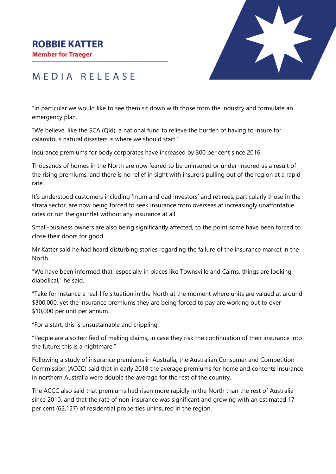#### **ROBBIE KATTER**

**Member for Traeger** 



## MEDIA RELEASE

"In particular we would like to see them sit down with those from the industry and formulate an emergency plan.

"We believe, like the SCA (Qld), a national fund to relieve the burden of having to insure for calamitous natural disasters is where we should start."

Insurance premiums for body corporates have increased by 300 per cent since 2016.

Thousands of homes in the North are now feared to be uninsured or under-insured as a result of the rising premiums, and there is no relief in sight with insurers pulling out of the region at a rapid rate.

It's understood customers including 'mum and dad investors' and retirees, particularly those in the strata sector, are now being forced to seek insurance from overseas at increasingly unaffordable rates or run the gauntlet without any insurance at all.

Small-business owners are also being significantly affected, to the point some have been forced to close their doors for good.

Mr Katter said he had heard disturbing stories regarding the failure of the insurance market in the North.

"We have been informed that, especially in places like Townsville and Cairns, things are looking diabolical," he said.

"Take for instance a real-life situation in the North at the moment where units are valued at around \$300,000, yet the insurance premiums they are being forced to pay are working out to over \$10,000 per unit per annum.

"For a start, this is unsustainable and crippling.

"People are also terrified of making claims, in case they risk the continuation of their insurance into the future; this is a nightmare."

Following a study of insurance premiums in Australia, the Australian Consumer and Competition Commission (ACCC) said that in early 2018 the average premiums for home and contents insurance in northern Australia were double the average for the rest of the country.

The ACCC also said that premiums had risen more rapidly in the North than the rest of Australia since 2010, and that the rate of non-insurance was significant and growing with an estimated 17 per cent (62,127) of residential properties uninsured in the region.